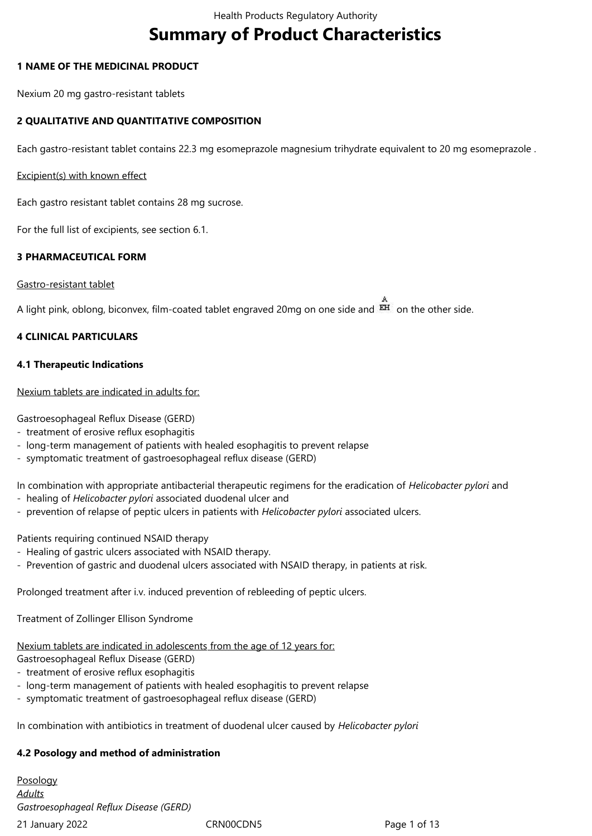# **Summary of Product Characteristics**

#### **1 NAME OF THE MEDICINAL PRODUCT**

Nexium 20 mg gastro-resistant tablets

## **2 QUALITATIVE AND QUANTITATIVE COMPOSITION**

Each gastro-resistant tablet contains 22.3 mg esomeprazole magnesium trihydrate equivalent to 20 mg esomeprazole .

#### Excipient(s) with known effect

Each gastro resistant tablet contains 28 mg sucrose.

For the full list of excipients, see section 6.1.

#### **3 PHARMACEUTICAL FORM**

#### Gastro-resistant tablet

A light pink, oblong, biconvex, film-coated tablet engraved 20mg on one side and  $\overrightarrow{EH}$  on the other side.

#### **4 CLINICAL PARTICULARS**

#### **4.1 Therapeutic Indications**

#### Nexium tablets are indicated in adults for:

Gastroesophageal Reflux Disease (GERD)

- treatment of erosive reflux esophagitis
- long-term management of patients with healed esophagitis to prevent relapse
- symptomatic treatment of gastroesophageal reflux disease (GERD)
- In combination with appropriate antibacterial therapeutic regimens for the eradication of *Helicobacter pylori* and
- healing of *Helicobacter pylori* associated duodenal ulcer and
- prevention of relapse of peptic ulcers in patients with *Helicobacter pylori* associated ulcers.

#### Patients requiring continued NSAID therapy

- Healing of gastric ulcers associated with NSAID therapy.
- Prevention of gastric and duodenal ulcers associated with NSAID therapy, in patients at risk.

Prolonged treatment after i.v. induced prevention of rebleeding of peptic ulcers.

Treatment of Zollinger Ellison Syndrome

# Nexium tablets are indicated in adolescents from the age of 12 years for:

Gastroesophageal Reflux Disease (GERD)

- treatment of erosive reflux esophagitis
- long-term management of patients with healed esophagitis to prevent relapse
- symptomatic treatment of gastroesophageal reflux disease (GERD)

In combination with antibiotics in treatment of duodenal ulcer caused by *Helicobacter pylori*

# **4.2 Posology and method of administration**

21 January 2022 CRN00CDN5 Page 1 of 13 Posology *Adults Gastroesophageal Reflux Disease (GERD)*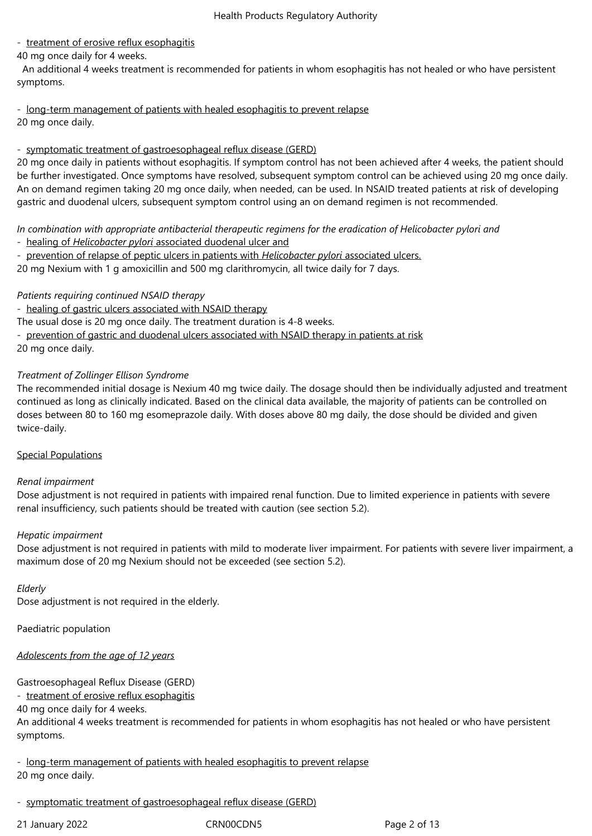## - treatment of erosive reflux esophagitis

40 mg once daily for 4 weeks.

 An additional 4 weeks treatment is recommended for patients in whom esophagitis has not healed or who have persistent symptoms.

- long-term management of patients with healed esophagitis to prevent relapse 20 mg once daily.

#### - symptomatic treatment of gastroesophageal reflux disease (GERD)

20 mg once daily in patients without esophagitis. If symptom control has not been achieved after 4 weeks, the patient should be further investigated. Once symptoms have resolved, subsequent symptom control can be achieved using 20 mg once daily. An on demand regimen taking 20 mg once daily, when needed, can be used. In NSAID treated patients at risk of developing gastric and duodenal ulcers, subsequent symptom control using an on demand regimen is not recommended.

*In combination with appropriate antibacterial therapeutic regimens for the eradication of Helicobacter pylori and* - healing of *Helicobacter pylori* associated duodenal ulcer and

- prevention of relapse of peptic ulcers in patients with *Helicobacter pylori* associated ulcers.

20 mg Nexium with 1 g amoxicillin and 500 mg clarithromycin, all twice daily for 7 days.

*Patients requiring continued NSAID therapy*

- healing of gastric ulcers associated with NSAID therapy

The usual dose is 20 mg once daily. The treatment duration is 4-8 weeks.

- prevention of gastric and duodenal ulcers associated with NSAID therapy in patients at risk 20 mg once daily.

## *Treatment of Zollinger Ellison Syndrome*

The recommended initial dosage is Nexium 40 mg twice daily. The dosage should then be individually adjusted and treatment continued as long as clinically indicated. Based on the clinical data available, the majority of patients can be controlled on doses between 80 to 160 mg esomeprazole daily. With doses above 80 mg daily, the dose should be divided and given twice-daily.

#### Special Populations

#### *Renal impairment*

Dose adjustment is not required in patients with impaired renal function. Due to limited experience in patients with severe renal insufficiency, such patients should be treated with caution (see section 5.2).

#### *Hepatic impairment*

Dose adjustment is not required in patients with mild to moderate liver impairment. For patients with severe liver impairment, a maximum dose of 20 mg Nexium should not be exceeded (see section 5.2).

#### *Elderly*

Dose adjustment is not required in the elderly.

Paediatric population

*Adolescents from the age of 12 years*

Gastroesophageal Reflux Disease (GERD)

- treatment of erosive reflux esophagitis

40 mg once daily for 4 weeks.

An additional 4 weeks treatment is recommended for patients in whom esophagitis has not healed or who have persistent symptoms.

- long-term management of patients with healed esophagitis to prevent relapse 20 mg once daily.

- symptomatic treatment of gastroesophageal reflux disease (GERD)

21 January 2022 CRN00CDN5 Page 2 of 13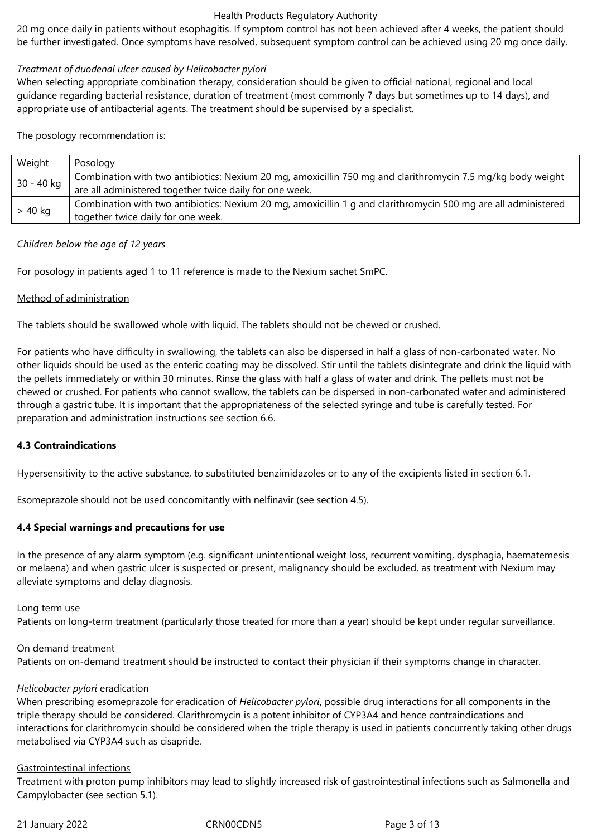20 mg once daily in patients without esophagitis. If symptom control has not been achieved after 4 weeks, the patient should be further investigated. Once symptoms have resolved, subsequent symptom control can be achieved using 20 mg once daily.

#### *Treatment of duodenal ulcer caused by Helicobacter pylori*

When selecting appropriate combination therapy, consideration should be given to official national, regional and local guidance regarding bacterial resistance, duration of treatment (most commonly 7 days but sometimes up to 14 days), and appropriate use of antibacterial agents. The treatment should be supervised by a specialist.

The posology recommendation is:

| Weight     | Posology                                                                                                       |
|------------|----------------------------------------------------------------------------------------------------------------|
| 30 - 40 kg | Combination with two antibiotics: Nexium 20 mg, amoxicillin 750 mg and clarithromycin 7.5 mg/kg body weight    |
|            | are all administered together twice daily for one week.                                                        |
| $> 40$ kg  | Combination with two antibiotics: Nexium 20 mg, amoxicillin 1 g and clarithromycin 500 mg are all administered |
|            | together twice daily for one week.                                                                             |

#### *Children below the age of 12 years*

For posology in patients aged 1 to 11 reference is made to the Nexium sachet SmPC.

#### Method of administration

The tablets should be swallowed whole with liquid. The tablets should not be chewed or crushed.

For patients who have difficulty in swallowing, the tablets can also be dispersed in half a glass of non-carbonated water. No other liquids should be used as the enteric coating may be dissolved. Stir until the tablets disintegrate and drink the liquid with the pellets immediately or within 30 minutes. Rinse the glass with half a glass of water and drink. The pellets must not be chewed or crushed. For patients who cannot swallow, the tablets can be dispersed in non-carbonated water and administered through a gastric tube. It is important that the appropriateness of the selected syringe and tube is carefully tested. For preparation and administration instructions see section 6.6.

#### **4.3 Contraindications**

Hypersensitivity to the active substance, to substituted benzimidazoles or to any of the excipients listed in section 6.1.

Esomeprazole should not be used concomitantly with nelfinavir (see section 4.5).

#### **4.4 Special warnings and precautions for use**

In the presence of any alarm symptom (e.g. significant unintentional weight loss, recurrent vomiting, dysphagia, haematemesis or melaena) and when gastric ulcer is suspected or present, malignancy should be excluded, as treatment with Nexium may alleviate symptoms and delay diagnosis.

#### Long term use

Patients on long-term treatment (particularly those treated for more than a year) should be kept under regular surveillance.

#### On demand treatment

Patients on on-demand treatment should be instructed to contact their physician if their symptoms change in character.

#### *Helicobacter pylori* eradication

When prescribing esomeprazole for eradication of *Helicobacter pylori*, possible drug interactions for all components in the triple therapy should be considered. Clarithromycin is a potent inhibitor of CYP3A4 and hence contraindications and interactions for clarithromycin should be considered when the triple therapy is used in patients concurrently taking other drugs metabolised via CYP3A4 such as cisapride.

#### Gastrointestinal infections

Treatment with proton pump inhibitors may lead to slightly increased risk of gastrointestinal infections such as Salmonella and Campylobacter (see section 5.1).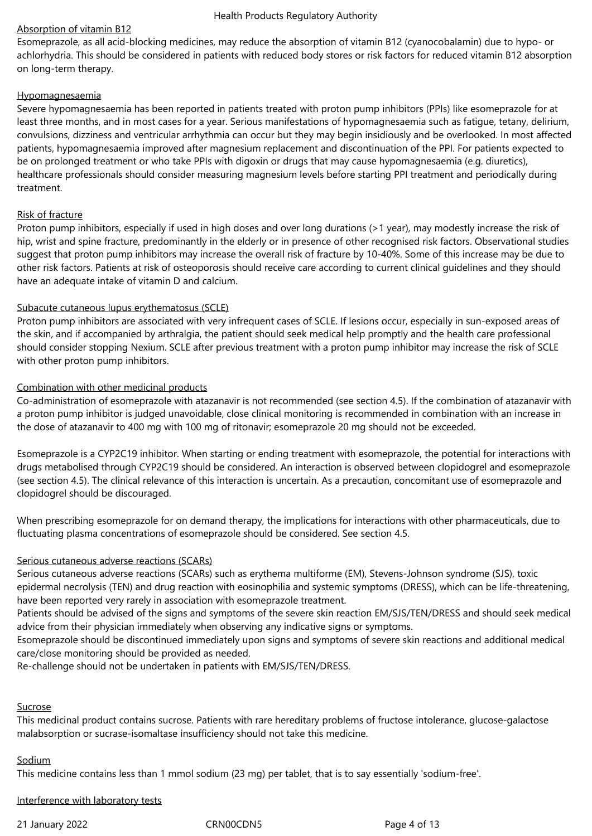#### Absorption of vitamin B12

Esomeprazole, as all acid-blocking medicines, may reduce the absorption of vitamin B12 (cyanocobalamin) due to hypo- or achlorhydria. This should be considered in patients with reduced body stores or risk factors for reduced vitamin B12 absorption on long‑term therapy.

#### Hypomagnesaemia

Severe hypomagnesaemia has been reported in patients treated with proton pump inhibitors (PPIs) like esomeprazole for at least three months, and in most cases for a year. Serious manifestations of hypomagnesaemia such as fatigue, tetany, delirium, convulsions, dizziness and ventricular arrhythmia can occur but they may begin insidiously and be overlooked. In most affected patients, hypomagnesaemia improved after magnesium replacement and discontinuation of the PPI. For patients expected to be on prolonged treatment or who take PPIs with digoxin or drugs that may cause hypomagnesaemia (e.g. diuretics), healthcare professionals should consider measuring magnesium levels before starting PPI treatment and periodically during treatment.

#### Risk of fracture

Proton pump inhibitors, especially if used in high doses and over long durations (>1 year), may modestly increase the risk of hip, wrist and spine fracture, predominantly in the elderly or in presence of other recognised risk factors. Observational studies suggest that proton pump inhibitors may increase the overall risk of fracture by 10‑40%. Some of this increase may be due to other risk factors. Patients at risk of osteoporosis should receive care according to current clinical guidelines and they should have an adequate intake of vitamin D and calcium.

#### Subacute cutaneous lupus erythematosus (SCLE)

Proton pump inhibitors are associated with very infrequent cases of SCLE. If lesions occur, especially in sun-exposed areas of the skin, and if accompanied by arthralgia, the patient should seek medical help promptly and the health care professional should consider stopping Nexium. SCLE after previous treatment with a proton pump inhibitor may increase the risk of SCLE with other proton pump inhibitors.

#### Combination with other medicinal products

Co-administration of esomeprazole with atazanavir is not recommended (see section 4.5). If the combination of atazanavir with a proton pump inhibitor is judged unavoidable, close clinical monitoring is recommended in combination with an increase in the dose of atazanavir to 400 mg with 100 mg of ritonavir; esomeprazole 20 mg should not be exceeded.

Esomeprazole is a CYP2C19 inhibitor. When starting or ending treatment with esomeprazole, the potential for interactions with drugs metabolised through CYP2C19 should be considered. An interaction is observed between clopidogrel and esomeprazole (see section 4.5). The clinical relevance of this interaction is uncertain. As a precaution, concomitant use of esomeprazole and clopidogrel should be discouraged.

When prescribing esomeprazole for on demand therapy, the implications for interactions with other pharmaceuticals, due to fluctuating plasma concentrations of esomeprazole should be considered. See section 4.5.

#### Serious cutaneous adverse reactions (SCARs)

Serious cutaneous adverse reactions (SCARs) such as erythema multiforme (EM), Stevens-Johnson syndrome (SJS), toxic epidermal necrolysis (TEN) and drug reaction with eosinophilia and systemic symptoms (DRESS), which can be life-threatening, have been reported very rarely in association with esomeprazole treatment.

Patients should be advised of the signs and symptoms of the severe skin reaction EM/SJS/TEN/DRESS and should seek medical advice from their physician immediately when observing any indicative signs or symptoms.

Esomeprazole should be discontinued immediately upon signs and symptoms of severe skin reactions and additional medical care/close monitoring should be provided as needed.

Re-challenge should not be undertaken in patients with EM/SJS/TEN/DRESS.

#### Sucrose

This medicinal product contains sucrose. Patients with rare hereditary problems of fructose intolerance, glucose-galactose malabsorption or sucrase-isomaltase insufficiency should not take this medicine.

#### Sodium

This medicine contains less than 1 mmol sodium (23 mg) per tablet, that is to say essentially 'sodium-free'.

Interference with laboratory tests

21 January 2022 CRN00CDN5 Page 4 of 13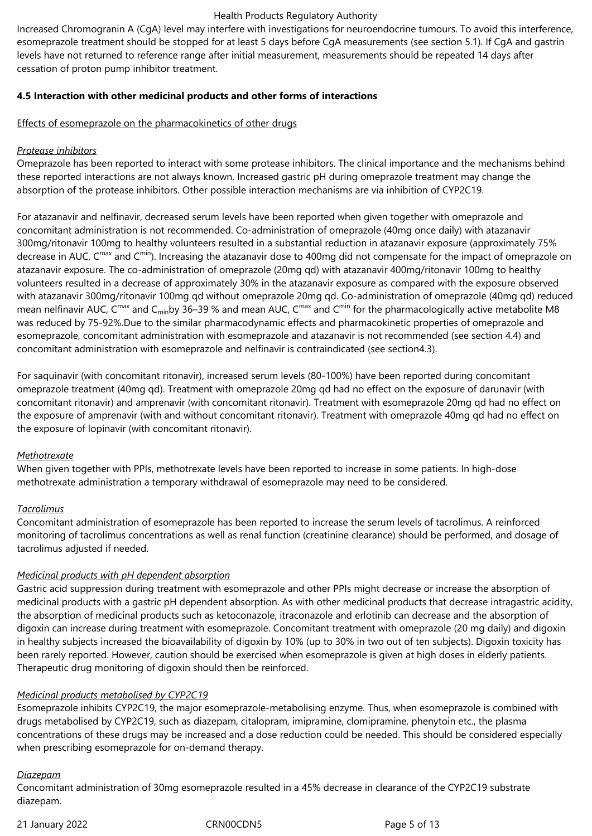Increased Chromogranin A (CgA) level may interfere with investigations for neuroendocrine tumours. To avoid this interference, esomeprazole treatment should be stopped for at least 5 days before CgA measurements (see section 5.1). If CgA and gastrin levels have not returned to reference range after initial measurement, measurements should be repeated 14 days after cessation of proton pump inhibitor treatment.

## **4.5 Interaction with other medicinal products and other forms of interactions**

#### Effects of esomeprazole on the pharmacokinetics of other drugs

#### *Protease inhibitors*

Omeprazole has been reported to interact with some protease inhibitors. The clinical importance and the mechanisms behind these reported interactions are not always known. Increased gastric pH during omeprazole treatment may change the absorption of the protease inhibitors. Other possible interaction mechanisms are via inhibition of CYP2C19.

For atazanavir and nelfinavir, decreased serum levels have been reported when given together with omeprazole and concomitant administration is not recommended. Co-administration of omeprazole (40mg once daily) with atazanavir 300mg/ritonavir 100mg to healthy volunteers resulted in a substantial reduction in atazanavir exposure (approximately 75% decrease in AUC, C<sup>max</sup> and C<sup>min</sup>). Increasing the atazanavir dose to 400mg did not compensate for the impact of omeprazole on atazanavir exposure. The co-administration of omeprazole (20mg qd) with atazanavir 400mg/ritonavir 100mg to healthy volunteers resulted in a decrease of approximately 30% in the atazanavir exposure as compared with the exposure observed with atazanavir 300mg/ritonavir 100mg qd without omeprazole 20mg qd. Co-administration of omeprazole (40mg qd) reduced mean nelfinavir AUC, C<sup>max</sup> and C<sub>min</sub>by 36–39 % and mean AUC, C<sup>max</sup> and C<sup>min</sup> for the pharmacologically active metabolite M8 was reduced by 75-92%.Due to the similar pharmacodynamic effects and pharmacokinetic properties of omeprazole and esomeprazole, concomitant administration with esomeprazole and atazanavir is not recommended (see section 4.4) and concomitant administration with esomeprazole and nelfinavir is contraindicated (see section4.3).

For saquinavir (with concomitant ritonavir), increased serum levels (80-100%) have been reported during concomitant omeprazole treatment (40mg qd). Treatment with omeprazole 20mg qd had no effect on the exposure of darunavir (with concomitant ritonavir) and amprenavir (with concomitant ritonavir). Treatment with esomeprazole 20mg qd had no effect on the exposure of amprenavir (with and without concomitant ritonavir). Treatment with omeprazole 40mg qd had no effect on the exposure of lopinavir (with concomitant ritonavir).

#### *Methotrexate*

When given together with PPIs, methotrexate levels have been reported to increase in some patients. In high-dose methotrexate administration a temporary withdrawal of esomeprazole may need to be considered.

#### *Tacrolimus*

Concomitant administration of esomeprazole has been reported to increase the serum levels of tacrolimus. A reinforced monitoring of tacrolimus concentrations as well as renal function (creatinine clearance) should be performed, and dosage of tacrolimus adjusted if needed.

## *Medicinal products with pH dependent absorption*

Gastric acid suppression during treatment with esomeprazole and other PPIs might decrease or increase the absorption of medicinal products with a gastric pH dependent absorption. As with other medicinal products that decrease intragastric acidity, the absorption of medicinal products such as ketoconazole, itraconazole and erlotinib can decrease and the absorption of digoxin can increase during treatment with esomeprazole. Concomitant treatment with omeprazole (20 mg daily) and digoxin in healthy subjects increased the bioavailability of digoxin by 10% (up to 30% in two out of ten subjects). Digoxin toxicity has been rarely reported. However, caution should be exercised when esomeprazole is given at high doses in elderly patients. Therapeutic drug monitoring of digoxin should then be reinforced.

## *Medicinal products metabolised by CYP2C19*

Esomeprazole inhibits CYP2C19, the major esomeprazole-metabolising enzyme. Thus, when esomeprazole is combined with drugs metabolised by CYP2C19, such as diazepam, citalopram, imipramine, clomipramine, phenytoin etc., the plasma concentrations of these drugs may be increased and a dose reduction could be needed. This should be considered especially when prescribing esomeprazole for on-demand therapy.

#### *Diazepam*

Concomitant administration of 30mg esomeprazole resulted in a 45% decrease in clearance of the CYP2C19 substrate diazepam.

21 January 2022 CRN00CDN5 Page 5 of 13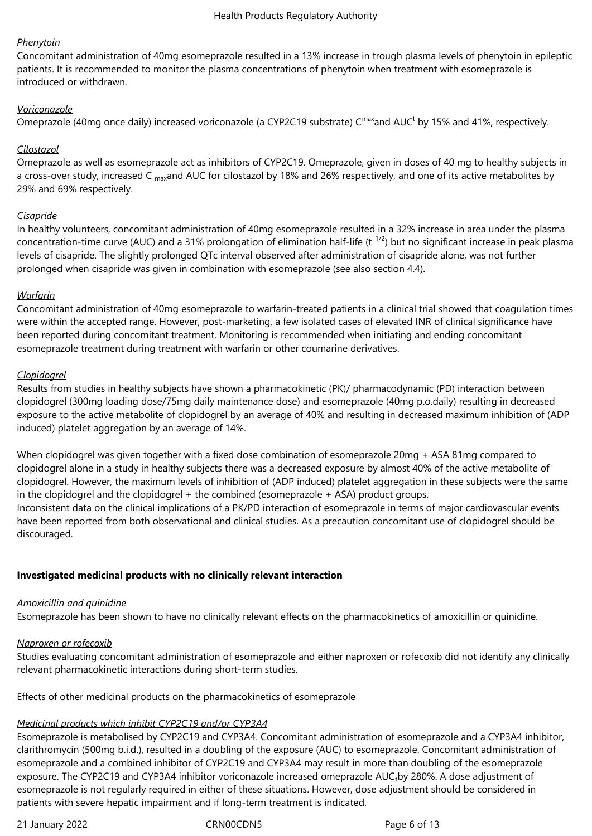#### *Phenytoin*

Concomitant administration of 40mg esomeprazole resulted in a 13% increase in trough plasma levels of phenytoin in epileptic patients. It is recommended to monitor the plasma concentrations of phenytoin when treatment with esomeprazole is introduced or withdrawn.

## *Voriconazole*

Omeprazole (40mg once daily) increased voriconazole (a CYP2C19 substrate) C<sup>max</sup>and AUC<sup>t</sup> by 15% and 41%, respectively.

## *Cilostazol*

Omeprazole as well as esomeprazole act as inhibitors of CYP2C19. Omeprazole, given in doses of 40 mg to healthy subjects in a cross-over study, increased C <sub>max</sub>and AUC for cilostazol by 18% and 26% respectively, and one of its active metabolites by 29% and 69% respectively.

#### *Cisapride*

In healthy volunteers, concomitant administration of 40mg esomeprazole resulted in a 32% increase in area under the plasma concentration-time curve (AUC) and a 31% prolongation of elimination half-life (t<sup>1/2</sup>) but no significant increase in peak plasma levels of cisapride. The slightly prolonged QTc interval observed after administration of cisapride alone, was not further prolonged when cisapride was given in combination with esomeprazole (see also section 4.4).

#### *Warfarin*

Concomitant administration of 40mg esomeprazole to warfarin-treated patients in a clinical trial showed that coagulation times were within the accepted range. However, post-marketing, a few isolated cases of elevated INR of clinical significance have been reported during concomitant treatment. Monitoring is recommended when initiating and ending concomitant esomeprazole treatment during treatment with warfarin or other coumarine derivatives.

#### *Clopidogrel*

Results from studies in healthy subjects have shown a pharmacokinetic (PK)/ pharmacodynamic (PD) interaction between clopidogrel (300mg loading dose/75mg daily maintenance dose) and esomeprazole (40mg p.o.daily) resulting in decreased exposure to the active metabolite of clopidogrel by an average of 40% and resulting in decreased maximum inhibition of (ADP induced) platelet aggregation by an average of 14%.

When clopidogrel was given together with a fixed dose combination of esomeprazole 20mg + ASA 81mg compared to clopidogrel alone in a study in healthy subjects there was a decreased exposure by almost 40% of the active metabolite of clopidogrel. However, the maximum levels of inhibition of (ADP induced) platelet aggregation in these subjects were the same in the clopidogrel and the clopidogrel + the combined (esomeprazole + ASA) product groups.

Inconsistent data on the clinical implications of a PK/PD interaction of esomeprazole in terms of major cardiovascular events have been reported from both observational and clinical studies. As a precaution concomitant use of clopidogrel should be discouraged.

## **Investigated medicinal products with no clinically relevant interaction**

#### *Amoxicillin and quinidine*

Esomeprazole has been shown to have no clinically relevant effects on the pharmacokinetics of amoxicillin or quinidine.

#### *Naproxen or rofecoxib*

Studies evaluating concomitant administration of esomeprazole and either naproxen or rofecoxib did not identify any clinically relevant pharmacokinetic interactions during short-term studies.

#### Effects of other medicinal products on the pharmacokinetics of esomeprazole

## *Medicinal products which inhibit CYP2C19 and/or CYP3A4*

Esomeprazole is metabolised by CYP2C19 and CYP3A4. Concomitant administration of esomeprazole and a CYP3A4 inhibitor, clarithromycin (500mg b.i.d.), resulted in a doubling of the exposure (AUC) to esomeprazole. Concomitant administration of esomeprazole and a combined inhibitor of CYP2C19 and CYP3A4 may result in more than doubling of the esomeprazole exposure. The CYP2C19 and CYP3A4 inhibitor voriconazole increased omeprazole AUC<sub>t</sub>by 280%. A dose adjustment of esomeprazole is not regularly required in either of these situations. However, dose adjustment should be considered in patients with severe hepatic impairment and if long-term treatment is indicated.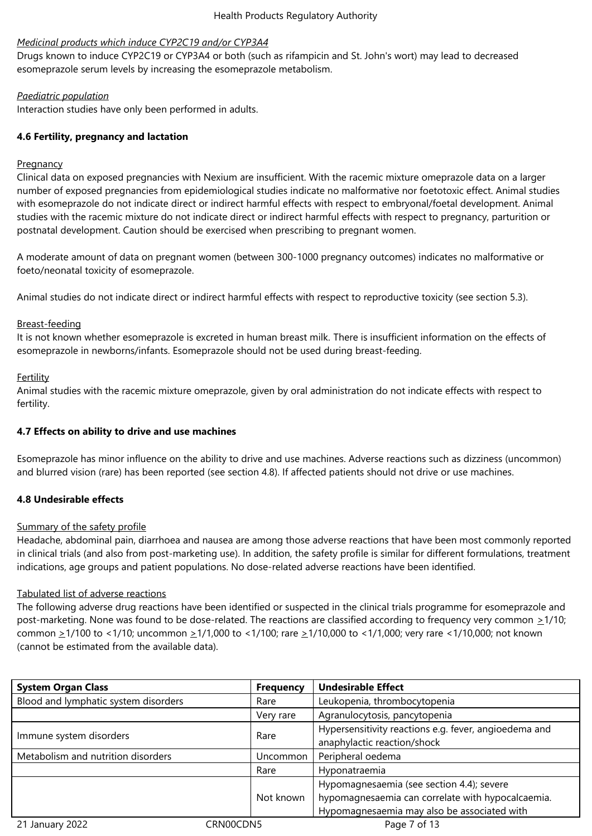#### *Medicinal products which induce CYP2C19 and/or CYP3A4*

Drugs known to induce CYP2C19 or CYP3A4 or both (such as rifampicin and St. John's wort) may lead to decreased esomeprazole serum levels by increasing the esomeprazole metabolism.

#### *Paediatric population*

Interaction studies have only been performed in adults.

## **4.6 Fertility, pregnancy and lactation**

#### **Pregnancy**

Clinical data on exposed pregnancies with Nexium are insufficient. With the racemic mixture omeprazole data on a larger number of exposed pregnancies from epidemiological studies indicate no malformative nor foetotoxic effect. Animal studies with esomeprazole do not indicate direct or indirect harmful effects with respect to embryonal/foetal development. Animal studies with the racemic mixture do not indicate direct or indirect harmful effects with respect to pregnancy, parturition or postnatal development. Caution should be exercised when prescribing to pregnant women.

A moderate amount of data on pregnant women (between 300-1000 pregnancy outcomes) indicates no malformative or foeto/neonatal toxicity of esomeprazole.

Animal studies do not indicate direct or indirect harmful effects with respect to reproductive toxicity (see section 5.3).

#### Breast-feeding

It is not known whether esomeprazole is excreted in human breast milk. There is insufficient information on the effects of esomeprazole in newborns/infants. Esomeprazole should not be used during breast-feeding.

#### Fertility

Animal studies with the racemic mixture omeprazole, given by oral administration do not indicate effects with respect to fertility.

## **4.7 Effects on ability to drive and use machines**

Esomeprazole has minor influence on the ability to drive and use machines. Adverse reactions such as dizziness (uncommon) and blurred vision (rare) has been reported (see section 4.8). If affected patients should not drive or use machines.

## **4.8 Undesirable effects**

#### Summary of the safety profile

Headache, abdominal pain, diarrhoea and nausea are among those adverse reactions that have been most commonly reported in clinical trials (and also from post-marketing use). In addition, the safety profile is similar for different formulations, treatment indications, age groups and patient populations. No dose-related adverse reactions have been identified.

#### Tabulated list of adverse reactions

The following adverse drug reactions have been identified or suspected in the clinical trials programme for esomeprazole and post-marketing. None was found to be dose-related. The reactions are classified according to frequency very common  $\geq 1/10$ ; common  $\geq$ 1/100 to <1/10; uncommon  $\geq$ 1/1,000 to <1/100; rare  $\geq$ 1/10,000 to <1/1,000; very rare <1/10,000; not known (cannot be estimated from the available data).

| <b>System Organ Class</b>            |           | <b>Frequency</b> | <b>Undesirable Effect</b>                                                                                                                     |
|--------------------------------------|-----------|------------------|-----------------------------------------------------------------------------------------------------------------------------------------------|
| Blood and lymphatic system disorders |           | Rare             | Leukopenia, thrombocytopenia                                                                                                                  |
|                                      |           | Very rare        | Agranulocytosis, pancytopenia                                                                                                                 |
| Immune system disorders              |           | Rare             | Hypersensitivity reactions e.g. fever, angioedema and<br>anaphylactic reaction/shock                                                          |
| Metabolism and nutrition disorders   |           | Uncommon         | Peripheral oedema                                                                                                                             |
|                                      |           | Rare             | Hyponatraemia                                                                                                                                 |
|                                      |           | Not known        | Hypomagnesaemia (see section 4.4); severe<br>hypomagnesaemia can correlate with hypocalcaemia.<br>Hypomagnesaemia may also be associated with |
| 21 January 2022                      | CRN00CDN5 |                  | Page 7 of 13                                                                                                                                  |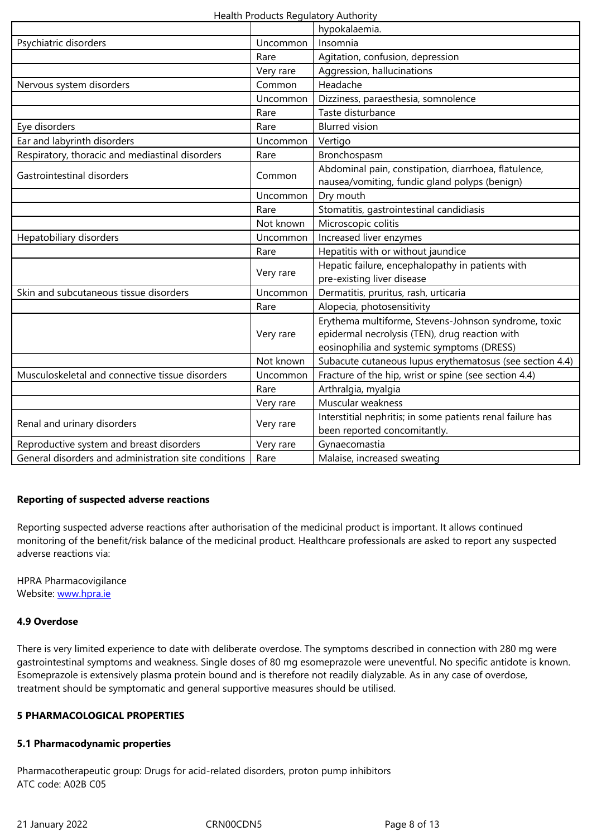|                                                      | Rare      | Agitation, confusion, depression                           |
|------------------------------------------------------|-----------|------------------------------------------------------------|
|                                                      | Very rare | Aggression, hallucinations                                 |
| Nervous system disorders                             | Common    | Headache                                                   |
|                                                      | Uncommon  | Dizziness, paraesthesia, somnolence                        |
|                                                      | Rare      | Taste disturbance                                          |
| Eye disorders                                        | Rare      | <b>Blurred</b> vision                                      |
| Ear and labyrinth disorders                          | Uncommon  | Vertigo                                                    |
| Respiratory, thoracic and mediastinal disorders      | Rare      | Bronchospasm                                               |
| Gastrointestinal disorders                           | Common    | Abdominal pain, constipation, diarrhoea, flatulence,       |
|                                                      |           | nausea/vomiting, fundic gland polyps (benign)              |
|                                                      | Uncommon  | Dry mouth                                                  |
|                                                      | Rare      | Stomatitis, gastrointestinal candidiasis                   |
|                                                      | Not known | Microscopic colitis                                        |
| Hepatobiliary disorders                              | Uncommon  | Increased liver enzymes                                    |
|                                                      | Rare      | Hepatitis with or without jaundice                         |
|                                                      | Very rare | Hepatic failure, encephalopathy in patients with           |
|                                                      |           | pre-existing liver disease                                 |
| Skin and subcutaneous tissue disorders               | Uncommon  | Dermatitis, pruritus, rash, urticaria                      |
|                                                      | Rare      | Alopecia, photosensitivity                                 |
|                                                      |           | Erythema multiforme, Stevens-Johnson syndrome, toxic       |
|                                                      | Very rare | epidermal necrolysis (TEN), drug reaction with             |
|                                                      |           | eosinophilia and systemic symptoms (DRESS)                 |
|                                                      | Not known | Subacute cutaneous lupus erythematosus (see section 4.4)   |
| Musculoskeletal and connective tissue disorders      | Uncommon  | Fracture of the hip, wrist or spine (see section 4.4)      |
|                                                      | Rare      | Arthralgia, myalgia                                        |
|                                                      | Very rare | Muscular weakness                                          |
|                                                      | Very rare | Interstitial nephritis; in some patients renal failure has |
| Renal and urinary disorders                          |           | been reported concomitantly.                               |
| Reproductive system and breast disorders             | Very rare | Gynaecomastia                                              |
| General disorders and administration site conditions | Rare      | Malaise, increased sweating                                |

## **Reporting of suspected adverse reactions**

Reporting suspected adverse reactions after authorisation of the medicinal product is important. It allows continued monitoring of the benefit/risk balance of the medicinal product. Healthcare professionals are asked to report any suspected adverse reactions via:

HPRA Pharmacovigilance Website: www.hpra.ie

#### **4.9 Overdose**

There is [very limited e](http://www.hpra.ie/)xperience to date with deliberate overdose. The symptoms described in connection with 280 mg were gastrointestinal symptoms and weakness. Single doses of 80 mg esomeprazole were uneventful. No specific antidote is known. Esomeprazole is extensively plasma protein bound and is therefore not readily dialyzable. As in any case of overdose, treatment should be symptomatic and general supportive measures should be utilised.

#### **5 PHARMACOLOGICAL PROPERTIES**

#### **5.1 Pharmacodynamic properties**

Pharmacotherapeutic group: Drugs for acid-related disorders, proton pump inhibitors ATC code: A02B C05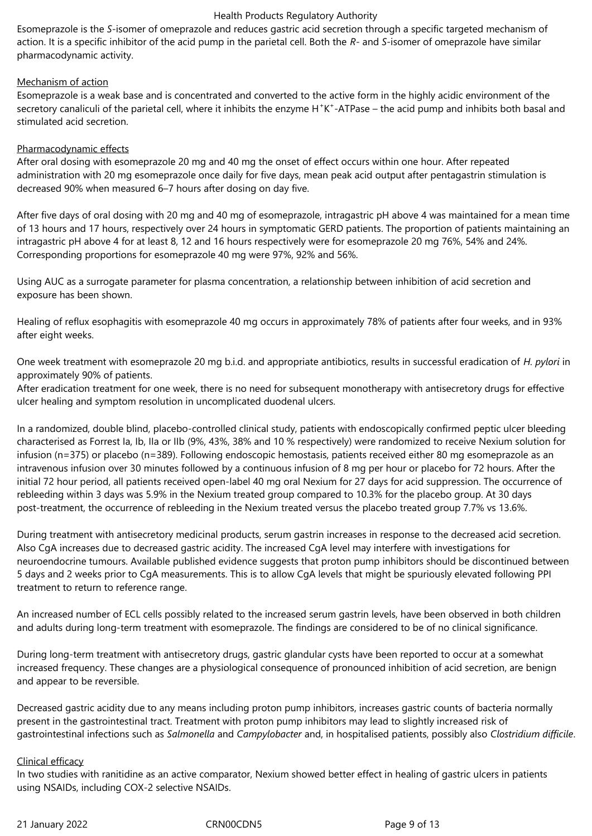Esomeprazole is the *S*-isomer of omeprazole and reduces gastric acid secretion through a specific targeted mechanism of action. It is a specific inhibitor of the acid pump in the parietal cell. Both the *R*- and *S*-isomer of omeprazole have similar pharmacodynamic activity.

#### Mechanism of action

Esomeprazole is a weak base and is concentrated and converted to the active form in the highly acidic environment of the secretory canaliculi of the parietal cell, where it inhibits the enzyme H<sup>+</sup>K<sup>+</sup>-ATPase – the acid pump and inhibits both basal and stimulated acid secretion.

#### Pharmacodynamic effects

After oral dosing with esomeprazole 20 mg and 40 mg the onset of effect occurs within one hour. After repeated administration with 20 mg esomeprazole once daily for five days, mean peak acid output after pentagastrin stimulation is decreased 90% when measured 6–7 hours after dosing on day five.

After five days of oral dosing with 20 mg and 40 mg of esomeprazole, intragastric pH above 4 was maintained for a mean time of 13 hours and 17 hours, respectively over 24 hours in symptomatic GERD patients. The proportion of patients maintaining an intragastric pH above 4 for at least 8, 12 and 16 hours respectively were for esomeprazole 20 mg 76%, 54% and 24%. Corresponding proportions for esomeprazole 40 mg were 97%, 92% and 56%.

Using AUC as a surrogate parameter for plasma concentration, a relationship between inhibition of acid secretion and exposure has been shown.

Healing of reflux esophagitis with esomeprazole 40 mg occurs in approximately 78% of patients after four weeks, and in 93% after eight weeks.

One week treatment with esomeprazole 20 mg b.i.d. and appropriate antibiotics, results in successful eradication of *H. pylori* in approximately 90% of patients.

After eradication treatment for one week, there is no need for subsequent monotherapy with antisecretory drugs for effective ulcer healing and symptom resolution in uncomplicated duodenal ulcers.

In a randomized, double blind, placebo-controlled clinical study, patients with endoscopically confirmed peptic ulcer bleeding characterised as Forrest Ia, Ib, IIa or IIb (9%, 43%, 38% and 10 % respectively) were randomized to receive Nexium solution for infusion (n=375) or placebo (n=389). Following endoscopic hemostasis, patients received either 80 mg esomeprazole as an intravenous infusion over 30 minutes followed by a continuous infusion of 8 mg per hour or placebo for 72 hours. After the initial 72 hour period, all patients received open-label 40 mg oral Nexium for 27 days for acid suppression. The occurrence of rebleeding within 3 days was 5.9% in the Nexium treated group compared to 10.3% for the placebo group. At 30 days post-treatment, the occurrence of rebleeding in the Nexium treated versus the placebo treated group 7.7% vs 13.6%.

During treatment with antisecretory medicinal products, serum gastrin increases in response to the decreased acid secretion. Also CgA increases due to decreased gastric acidity. The increased CgA level may interfere with investigations for neuroendocrine tumours. Available published evidence suggests that proton pump inhibitors should be discontinued between 5 days and 2 weeks prior to CgA measurements. This is to allow CgA levels that might be spuriously elevated following PPI treatment to return to reference range.

An increased number of ECL cells possibly related to the increased serum gastrin levels, have been observed in both children and adults during long-term treatment with esomeprazole. The findings are considered to be of no clinical significance.

During long-term treatment with antisecretory drugs, gastric glandular cysts have been reported to occur at a somewhat increased frequency. These changes are a physiological consequence of pronounced inhibition of acid secretion, are benign and appear to be reversible.

Decreased gastric acidity due to any means including proton pump inhibitors, increases gastric counts of bacteria normally present in the gastrointestinal tract. Treatment with proton pump inhibitors may lead to slightly increased risk of gastrointestinal infections such as *Salmonella* and *Campylobacter* and, in hospitalised patients, possibly also *Clostridium difficile*.

#### Clinical efficacy

In two studies with ranitidine as an active comparator, Nexium showed better effect in healing of gastric ulcers in patients using NSAIDs, including COX-2 selective NSAIDs.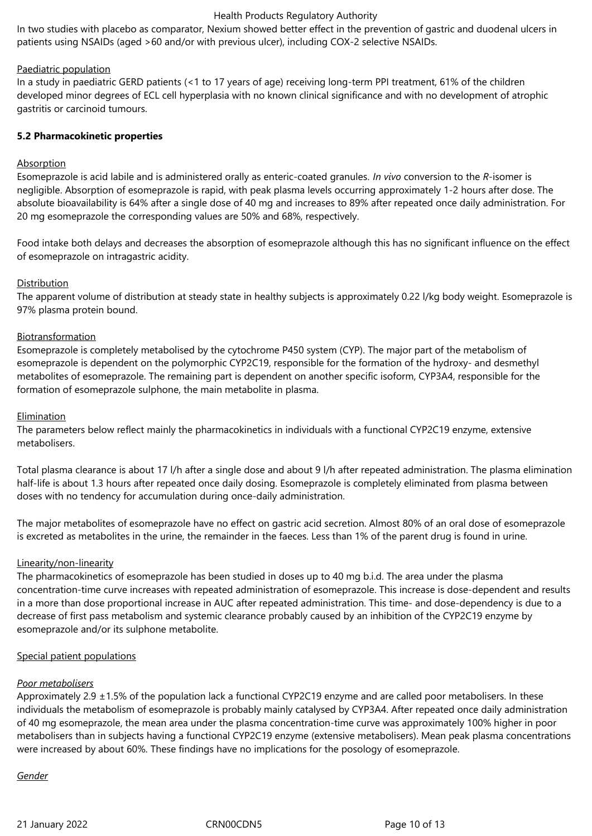In two studies with placebo as comparator, Nexium showed better effect in the prevention of gastric and duodenal ulcers in patients using NSAIDs (aged >60 and/or with previous ulcer), including COX-2 selective NSAIDs.

#### Paediatric population

In a study in paediatric GERD patients (<1 to 17 years of age) receiving long-term PPI treatment, 61% of the children developed minor degrees of ECL cell hyperplasia with no known clinical significance and with no development of atrophic gastritis or carcinoid tumours.

#### **5.2 Pharmacokinetic properties**

## Absorption

Esomeprazole is acid labile and is administered orally as enteric-coated granules. *In vivo* conversion to the *R*-isomer is negligible. Absorption of esomeprazole is rapid, with peak plasma levels occurring approximately 1-2 hours after dose. The absolute bioavailability is 64% after a single dose of 40 mg and increases to 89% after repeated once daily administration. For 20 mg esomeprazole the corresponding values are 50% and 68%, respectively.

Food intake both delays and decreases the absorption of esomeprazole although this has no significant influence on the effect of esomeprazole on intragastric acidity.

#### Distribution

The apparent volume of distribution at steady state in healthy subjects is approximately 0.22 l/kg body weight. Esomeprazole is 97% plasma protein bound.

#### Biotransformation

Esomeprazole is completely metabolised by the cytochrome P450 system (CYP). The major part of the metabolism of esomeprazole is dependent on the polymorphic CYP2C19, responsible for the formation of the hydroxy- and desmethyl metabolites of esomeprazole. The remaining part is dependent on another specific isoform, CYP3A4, responsible for the formation of esomeprazole sulphone, the main metabolite in plasma.

#### Elimination

The parameters below reflect mainly the pharmacokinetics in individuals with a functional CYP2C19 enzyme, extensive metabolisers.

Total plasma clearance is about 17 l/h after a single dose and about 9 l/h after repeated administration. The plasma elimination half-life is about 1.3 hours after repeated once daily dosing. Esomeprazole is completely eliminated from plasma between doses with no tendency for accumulation during once-daily administration.

The major metabolites of esomeprazole have no effect on gastric acid secretion. Almost 80% of an oral dose of esomeprazole is excreted as metabolites in the urine, the remainder in the faeces. Less than 1% of the parent drug is found in urine.

#### Linearity/non-linearity

The pharmacokinetics of esomeprazole has been studied in doses up to 40 mg b.i.d. The area under the plasma concentration-time curve increases with repeated administration of esomeprazole. This increase is dose-dependent and results in a more than dose proportional increase in AUC after repeated administration. This time- and dose-dependency is due to a decrease of first pass metabolism and systemic clearance probably caused by an inhibition of the CYP2C19 enzyme by esomeprazole and/or its sulphone metabolite.

#### Special patient populations

#### *Poor metabolisers*

Approximately 2.9 ±1.5% of the population lack a functional CYP2C19 enzyme and are called poor metabolisers. In these individuals the metabolism of esomeprazole is probably mainly catalysed by CYP3A4. After repeated once daily administration of 40 mg esomeprazole, the mean area under the plasma concentration-time curve was approximately 100% higher in poor metabolisers than in subjects having a functional CYP2C19 enzyme (extensive metabolisers). Mean peak plasma concentrations were increased by about 60%. These findings have no implications for the posology of esomeprazole.

#### *Gender*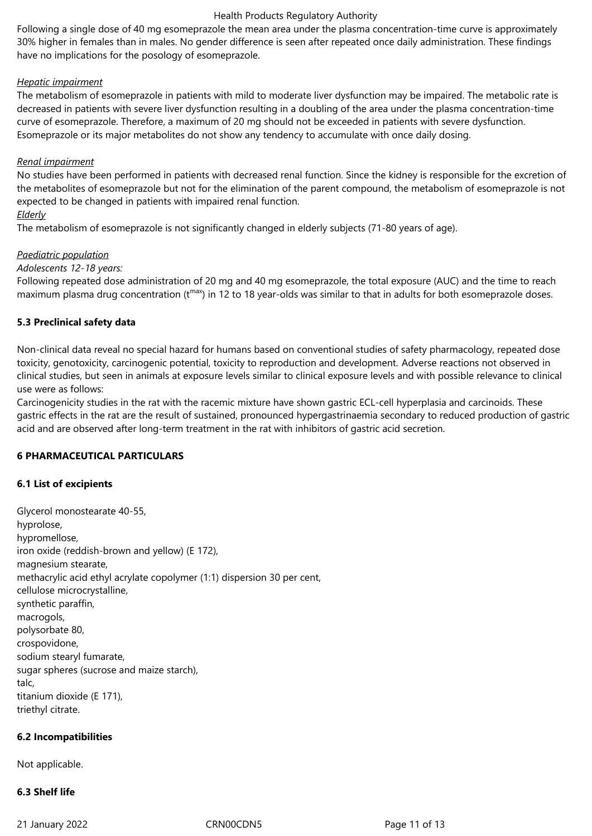Following a single dose of 40 mg esomeprazole the mean area under the plasma concentration-time curve is approximately 30% higher in females than in males. No gender difference is seen after repeated once daily administration. These findings have no implications for the posology of esomeprazole.

#### *Hepatic impairment*

The metabolism of esomeprazole in patients with mild to moderate liver dysfunction may be impaired. The metabolic rate is decreased in patients with severe liver dysfunction resulting in a doubling of the area under the plasma concentration-time curve of esomeprazole. Therefore, a maximum of 20 mg should not be exceeded in patients with severe dysfunction. Esomeprazole or its major metabolites do not show any tendency to accumulate with once daily dosing.

#### *Renal impairment*

No studies have been performed in patients with decreased renal function. Since the kidney is responsible for the excretion of the metabolites of esomeprazole but not for the elimination of the parent compound, the metabolism of esomeprazole is not expected to be changed in patients with impaired renal function.

#### *Elderly*

The metabolism of esomeprazole is not significantly changed in elderly subjects (71-80 years of age).

#### *Paediatric population*

#### *Adolescents 12-18 years:*

Following repeated dose administration of 20 mg and 40 mg esomeprazole, the total exposure (AUC) and the time to reach maximum plasma drug concentration ( $t^{max}$ ) in 12 to 18 year-olds was similar to that in adults for both esomeprazole doses.

## **5.3 Preclinical safety data**

Non-clinical data reveal no special hazard for humans based on conventional studies of safety pharmacology, repeated dose toxicity, genotoxicity, carcinogenic potential, toxicity to reproduction and development. Adverse reactions not observed in clinical studies, but seen in animals at exposure levels similar to clinical exposure levels and with possible relevance to clinical use were as follows:

Carcinogenicity studies in the rat with the racemic mixture have shown gastric ECL-cell hyperplasia and carcinoids. These gastric effects in the rat are the result of sustained, pronounced hypergastrinaemia secondary to reduced production of gastric acid and are observed after long-term treatment in the rat with inhibitors of gastric acid secretion.

## **6 PHARMACEUTICAL PARTICULARS**

#### **6.1 List of excipients**

Glycerol monostearate 40-55, hyprolose, hypromellose, iron oxide (reddish-brown and yellow) (E 172), magnesium stearate, methacrylic acid ethyl acrylate copolymer (1:1) dispersion 30 per cent, cellulose microcrystalline, synthetic paraffin, macrogols, polysorbate 80, crospovidone, sodium stearyl fumarate, sugar spheres (sucrose and maize starch), talc, titanium dioxide (E 171), triethyl citrate.

#### **6.2 Incompatibilities**

Not applicable.

## **6.3 Shelf life**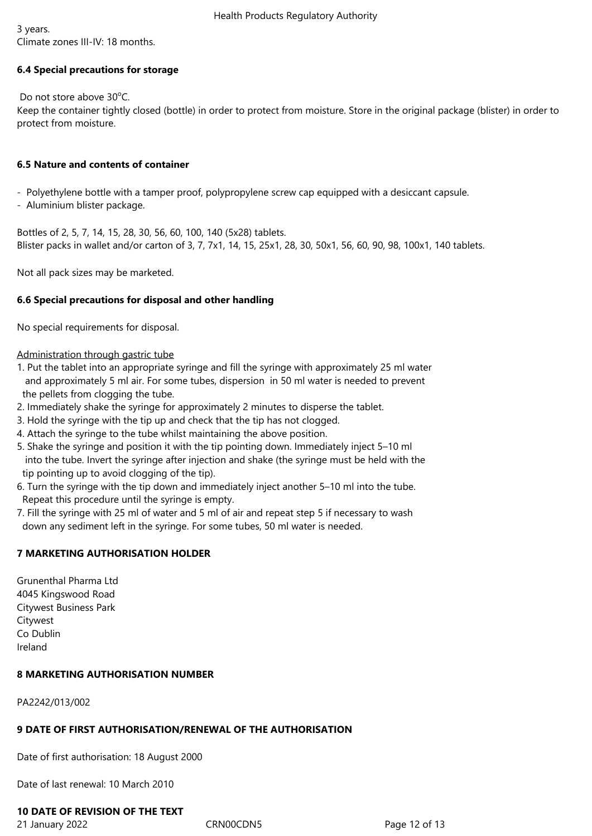3 years.

Climate zones III-IV: 18 months.

## **6.4 Special precautions for storage**

Do not store above  $30^{\circ}$ C.

Keep the container tightly closed (bottle) in order to protect from moisture. Store in the original package (blister) in order to protect from moisture.

#### **6.5 Nature and contents of container**

- Polyethylene bottle with a tamper proof, polypropylene screw cap equipped with a desiccant capsule.

- Aluminium blister package.

Bottles of 2, 5, 7, 14, 15, 28, 30, 56, 60, 100, 140 (5x28) tablets. Blister packs in wallet and/or carton of 3, 7, 7x1, 14, 15, 25x1, 28, 30, 50x1, 56, 60, 90, 98, 100x1, 140 tablets.

Not all pack sizes may be marketed.

## **6.6 Special precautions for disposal and other handling**

No special requirements for disposal.

#### Administration through gastric tube

- 1. Put the tablet into an appropriate syringe and fill the syringe with approximately 25 ml water and approximately 5 ml air. For some tubes, dispersion in 50 ml water is needed to prevent the pellets from clogging the tube.
- 2. Immediately shake the syringe for approximately 2 minutes to disperse the tablet.
- 3. Hold the syringe with the tip up and check that the tip has not clogged.
- 4. Attach the syringe to the tube whilst maintaining the above position.
- 5. Shake the syringe and position it with the tip pointing down. Immediately inject 5–10 ml into the tube. Invert the syringe after injection and shake (the syringe must be held with the tip pointing up to avoid clogging of the tip).
- 6. Turn the syringe with the tip down and immediately inject another 5–10 ml into the tube. Repeat this procedure until the syringe is empty.
- 7. Fill the syringe with 25 ml of water and 5 ml of air and repeat step 5 if necessary to wash down any sediment left in the syringe. For some tubes, 50 ml water is needed.

# **7 MARKETING AUTHORISATION HOLDER**

Grunenthal Pharma Ltd 4045 Kingswood Road Citywest Business Park Citywest Co Dublin Ireland

## **8 MARKETING AUTHORISATION NUMBER**

PA2242/013/002

## **9 DATE OF FIRST AUTHORISATION/RENEWAL OF THE AUTHORISATION**

Date of first authorisation: 18 August 2000

Date of last renewal: 10 March 2010

# **10 DATE OF REVISION OF THE TEXT**

21 January 2022 CRN00CDN5 Page 12 of 13